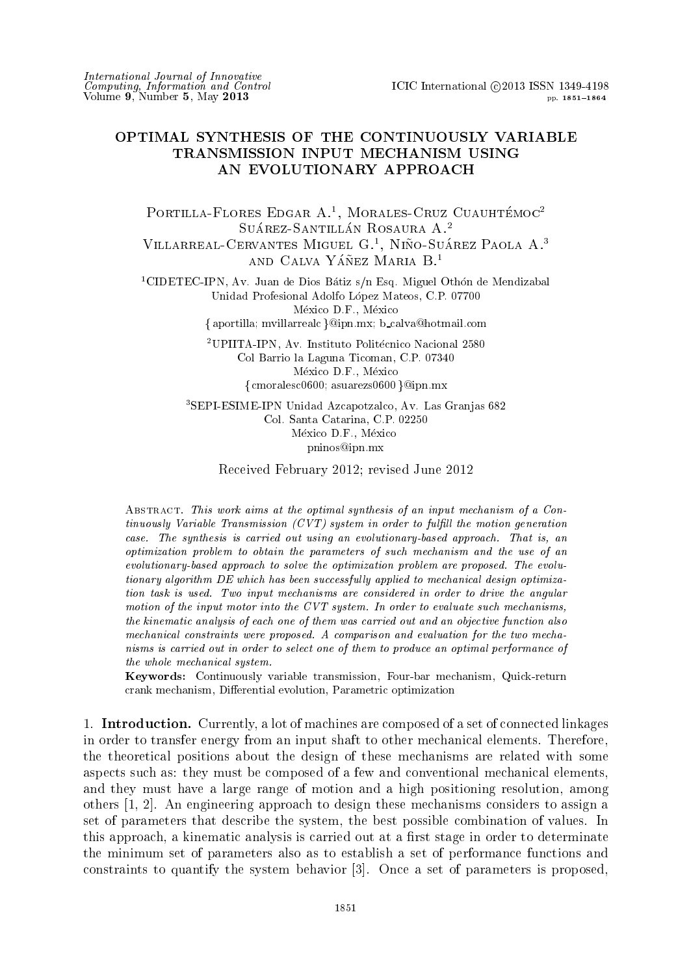## OPTIMAL SYNTHESIS OF THE CONTINUOUSLY VARIABLE TRANSMISSION INPUT MECHANISM USING AN EVOLUTIONARY APPROACH

PORTILLA-FLORES EDGAR A.<sup>1</sup>, MORALES-CRUZ CUAUHTÉMOC<sup>2</sup> SUÁREZ-SANTILLÁN ROSAURA A.<sup>2</sup> VILLARREAL-CERVANTES MIGUEL G.<sup>1</sup>, NIÑO-SUÁREZ PAOLA A.<sup>3</sup> AND CALVA YÁÑEZ MARIA  $B<sup>1</sup>$ 

<sup>1</sup>CIDETEC-IPN, Av. Juan de Dios Bátiz s/n Esq. Miguel Othón de Mendizabal Unidad Profesional Adolfo López Mateos, C.P. 07700 México D.F., México

{aportilla; mvillarrealc}@ipn.mx; b\_calva@hotmail.com

<sup>2</sup>UPIITA-IPN, Av. Instituto Politécnico Nacional 2580 Col Barrio la Laguna Ticoman, C.P. 07340 México D.F., México  $\{$  cmoralesc0600; asuarezs0600  $\}@ipn.mx$ 

<sup>3</sup>SEPI-ESIME-IPN Unidad Azcapotzalco, Av. Las Granjas 682 Col. Santa Catarina, C.P. 02250 México D.F., México pninos@ipn.mx

Received February 2012; revised June 2012

ABSTRACT. This work aims at the optimal synthesis of an input mechanism of a Continuously Variable Transmission  $(CVT)$  system in order to fulfill the motion generation case. The synthesis is carried out using an evolutionary-based approach. That is, an optimization problem to obtain the parameters of such mechanism and the use of an evolutionary-based approach to solve the optimization problem are proposed. The evolutionary algorithm DE which has been successfully applied to mechanical design optimization task is used. Two input mechanisms are considered in order to drive the angular motion of the input motor into the CVT system. In order to evaluate such mechanisms, the kinematic analysis of each one of them was carried out and an objective function also mechanical constraints were proposed. A comparison and evaluation for the two mechanisms is carried out in order to select one of them to produce an optimal performance of the whole mechanical system.

Keywords: Continuously variable transmission, Four-bar mechanism, Quick-return crank mechanism, Differential evolution, Parametric optimization

1. **Introduction.** Currently, a lot of machines are composed of a set of connected linkages in order to transfer energy from an input shaft to other mechanical elements. Therefore, the theoretical positions about the design of these mechanisms are related with some aspects such as: they must be composed of a few and conventional mechanical elements. and they must have a large range of motion and a high positioning resolution, among others  $[1, 2]$ . An engineering approach to design these mechanisms considers to assign a set of parameters that describe the system, the best possible combination of values. In this approach, a kinematic analysis is carried out at a first stage in order to determinate the minimum set of parameters also as to establish a set of performance functions and constraints to quantify the system behavior [3]. Once a set of parameters is proposed.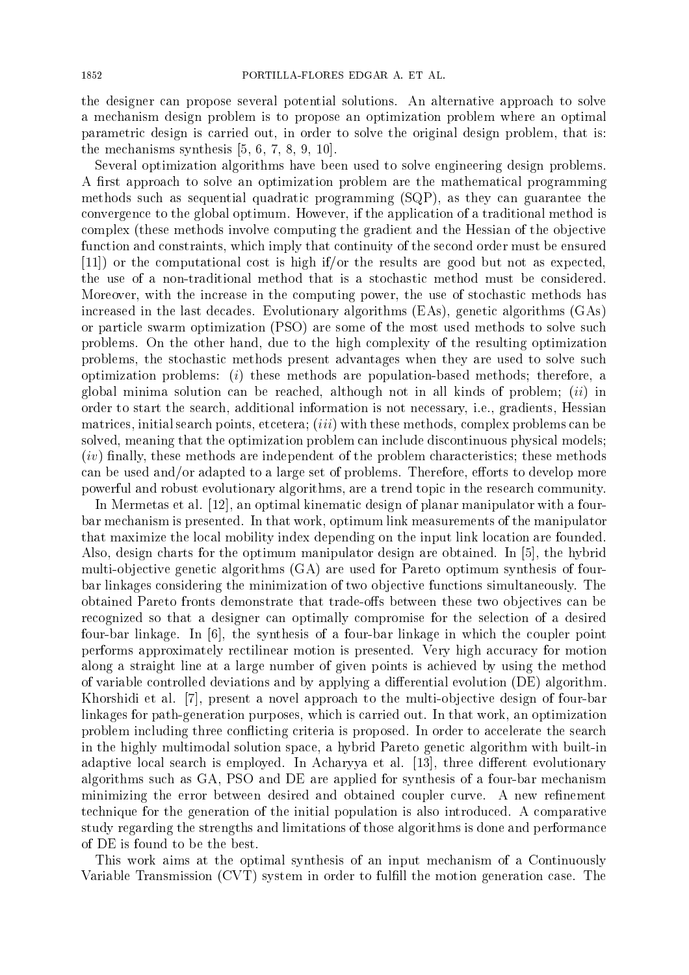the designer can propose several potential solutions. An alternative approach to solve a mechanism design problem is to propose an optimization problem where an optimal parametric design is carried out, in order to solve the original design problem, that is: the mechanisms synthesis  $[5, 6, 7, 8, 9, 10]$ .

Several optimization algorithms have been used to solve engineering design problems. A first approach to solve an optimization problem are the mathematical programming methods such as sequential quadratic programming (SQP), as they can guarantee the convergence to the global optimum. However, if the application of a traditional method is complex (these methods involve computing the gradient and the Hessian of the objective function and constraints, which imply that continuity of the second order must be ensured  $[11]$  or the computational cost is high if/or the results are good but not as expected, the use of a non-traditional method that is a stochastic method must be considered. Moreover, with the increase in the computing power, the use of stochastic methods has increased in the last decades. Evolutionary algorithms (EAs), genetic algorithms (GAs) or particle swarm optimization (PSO) are some of the most used methods to solve such problems. On the other hand, due to the high complexity of the resulting optimization problems, the stochastic methods present advantages when they are used to solve such optimization problems:  $(i)$  these methods are population-based methods; therefore, a global minima solution can be reached, although not in all kinds of problem; *(ii)* in order to start the search, additional information is not necessary, i.e., gradients, Hessian matrices, initial search points, etcetera; (*iii*) with these methods, complex problems can be solved, meaning that the optimization problem can include discontinuous physical models:  $(iv)$  finally, these methods are independent of the problem characteristics; these methods can be used and/or adapted to a large set of problems. Therefore, efforts to develop more powerful and robust evolutionary algorithms, are a trend topic in the research community.

In Mermetas et al. [12], an optimal kinematic design of planar manipulator with a fourbar mechanism is presented. In that work, optimum link measurements of the manipulator that maximize the local mobility index depending on the input link location are founded. Also, design charts for the optimum manipulator design are obtained. In [5], the hybrid multi-objective genetic algorithms (GA) are used for Pareto optimum synthesis of fourbar linkages considering the minimization of two objective functions simultaneously. The obtained Pareto fronts demonstrate that trade-offs between these two objectives can be recognized so that a designer can optimally compromise for the selection of a desired four-bar linkage. In [6], the synthesis of a four-bar linkage in which the coupler point performs approximately rectilinear motion is presented. Very high accuracy for motion along a straight line at a large number of given points is achieved by using the method of variable controlled deviations and by applying a differential evolution (DE) algorithm. Khorshidi et al. [7], present a novel approach to the multi-objective design of four-bar linkages for path-generation purposes, which is carried out. In that work, an optimization problem including three conflicting criteria is proposed. In order to accelerate the search in the highly multimodal solution space, a hybrid Pareto genetic algorithm with built-in adaptive local search is employed. In Acharyya et al. [13], three different evolutionary algorithms such as GA, PSO and DE are applied for synthesis of a four-bar mechanism minimizing the error between desired and obtained coupler curve. A new refinement technique for the generation of the initial population is also introduced. A comparative study regarding the strengths and limitations of those algorithms is done and performance of DE is found to be the best.

This work aims at the optimal synthesis of an input mechanism of a Continuously Variable Transmission (CVT) system in order to fulfill the motion generation case. The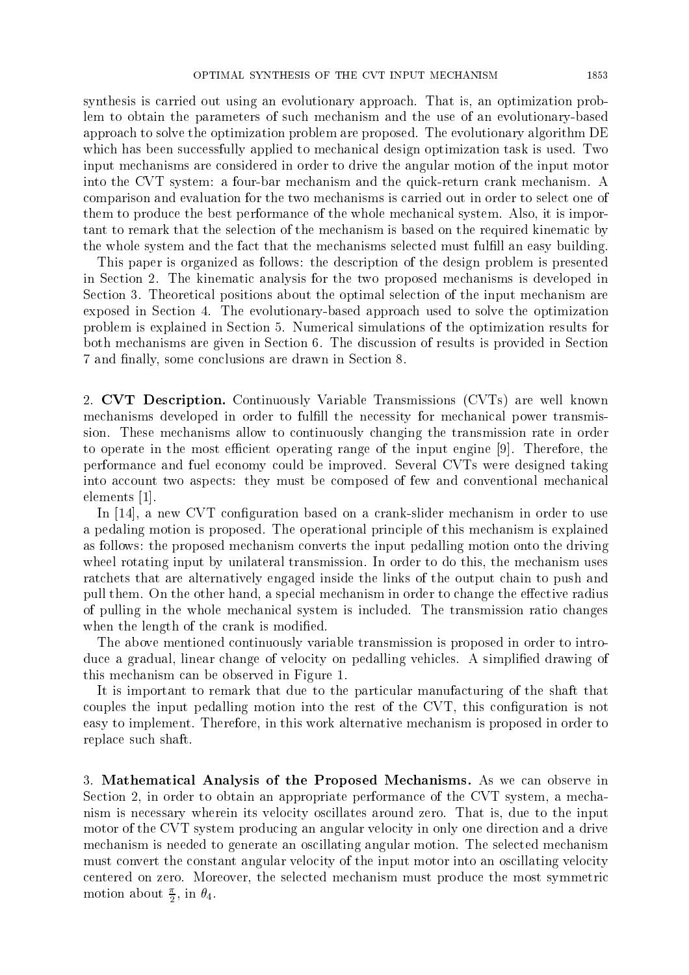synthesis is carried out using an evolutionary approach. That is, an optimization problem to obtain the parameters of such mechanism and the use of an evolutionary-based approach to solve the optimization problem are proposed. The evolutionary algorithm DE which has been successfully applied to mechanical design optimization task is used. Two input mechanisms are considered in order to drive the angular motion of the input motor into the CVT system: a four-bar mechanism and the quick-return crank mechanism. A comparison and evaluation for the two mechanisms is carried out in order to select one of them to produce the best performance of the whole mechanical system. Also, it is important to remark that the selection of the mechanism is based on the required kinematic by the whole system and the fact that the mechanisms selected must fulfill an easy building.

This paper is organized as follows: the description of the design problem is presented in Section 2. The kinematic analysis for the two proposed mechanisms is developed in Section 3. Theoretical positions about the optimal selection of the input mechanism are exposed in Section 4. The evolutionary-based approach used to solve the optimization problem is explained in Section 5. Numerical simulations of the optimization results for both mechanisms are given in Section 6. The discussion of results is provided in Section 7 and finally, some conclusions are drawn in Section 8.

2. CVT Description. Continuously Variable Transmissions (CVTs) are well known mechanisms developed in order to fulfill the necessity for mechanical power transmission. These mechanisms allow to continuously changing the transmission rate in order to operate in the most efficient operating range of the input engine [9]. Therefore, the performance and fuel economy could be improved. Several CVTs were designed taking into account two aspects: they must be composed of few and conventional mechanical elements  $|1|$ .

In [14], a new CVT configuration based on a crank-slider mechanism in order to use a pedaling motion is proposed. The operational principle of this mechanism is explained as follows: the proposed mechanism converts the input pedalling motion onto the driving wheel rotating input by unilateral transmission. In order to do this, the mechanism uses ratchets that are alternatively engaged inside the links of the output chain to push and pull them. On the other hand, a special mechanism in order to change the effective radius of pulling in the whole mechanical system is included. The transmission ratio changes when the length of the crank is modified.

The above mentioned continuously variable transmission is proposed in order to introduce a gradual, linear change of velocity on pedalling vehicles. A simplified drawing of this mechanism can be observed in Figure 1.

It is important to remark that due to the particular manufacturing of the shaft that couples the input pedalling motion into the rest of the CVT, this configuration is not easy to implement. Therefore, in this work alternative mechanism is proposed in order to replace such shaft.

3. Mathematical Analysis of the Proposed Mechanisms. As we can observe in Section 2, in order to obtain an appropriate performance of the CVT system, a mechanism is necessary wherein its velocity oscillates around zero. That is, due to the input motor of the CVT system producing an angular velocity in only one direction and a drive mechanism is needed to generate an oscillating angular motion. The selected mechanism must convert the constant angular velocity of the input motor into an oscillating velocity centered on zero. Moreover, the selected mechanism must produce the most symmetric motion about  $\frac{\pi}{2}$ , in  $\theta_4$ .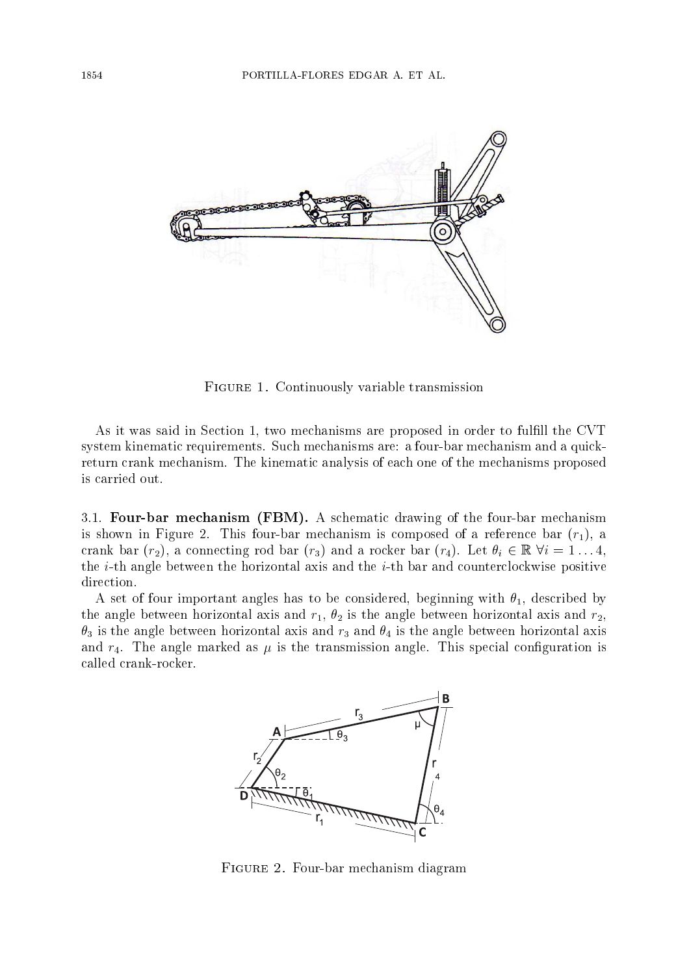

FIGURE 1. Continuously variable transmission

As it was said in Section 1, two mechanisms are proposed in order to fulfill the CVT system kinematic requirements. Such mechanisms are: a four-bar mechanism and a quickreturn crank mechanism. The kinematic analysis of each one of the mechanisms proposed is carried out.

3.1. Four-bar mechanism (FBM). A schematic drawing of the four-bar mechanism is shown in Figure 2. This four-bar mechanism is composed of a reference bar  $(r_1)$ , a crank bar  $(r_2)$ , a connecting rod bar  $(r_3)$  and a rocker bar  $(r_4)$ . Let  $\theta_i \in \mathbb{R} \ \forall i = 1 \ldots 4$ , the *i*-th angle between the horizontal axis and the *i*-th bar and counterclockwise positive direction.

A set of four important angles has to be considered, beginning with  $\theta_1$ , described by the angle between horizontal axis and  $r_1$ ,  $\theta_2$  is the angle between horizontal axis and  $r_2$ ,  $\theta_3$  is the angle between horizontal axis and  $r_3$  and  $\theta_4$  is the angle between horizontal axis and  $r_4$ . The angle marked as  $\mu$  is the transmission angle. This special configuration is called crank-rocker.



FIGURE 2. Four-bar mechanism diagram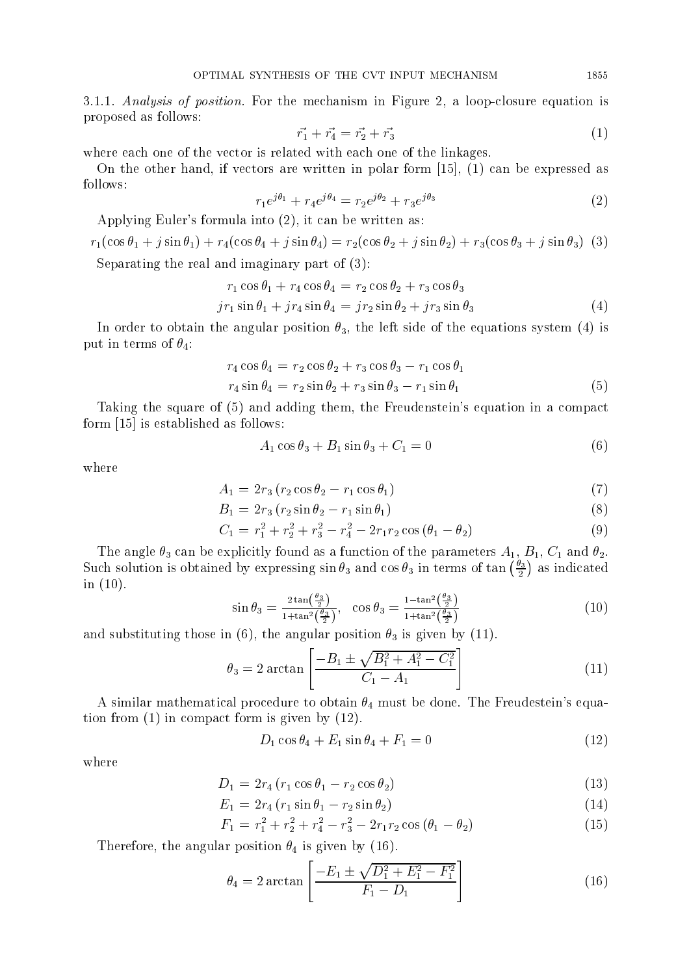3.1.1. Analysis of position. For the mechanism in Figure 2, a loop-closure equation is proposed as follows:

$$
\vec{r_1} + \vec{r_4} = \vec{r_2} + \vec{r_3} \tag{1}
$$

where each one of the vector is related with each one of the linkages.

On the other hand, if vectors are written in polar form  $[15]$ ,  $(1)$  can be expressed as follows:

$$
r_1 e^{j\theta_1} + r_4 e^{j\theta_4} = r_2 e^{j\theta_2} + r_3 e^{j\theta_3} \tag{2}
$$

Applying Euler's formula into (2), it can be written as:

$$
r_1(\cos\theta_1 + j\sin\theta_1) + r_4(\cos\theta_4 + j\sin\theta_4) = r_2(\cos\theta_2 + j\sin\theta_2) + r_3(\cos\theta_3 + j\sin\theta_3)
$$
 (3)

Separating the real and imaginary part of  $(3)$ :

$$
r_1 \cos \theta_1 + r_4 \cos \theta_4 = r_2 \cos \theta_2 + r_3 \cos \theta_3
$$
  
\n
$$
jr_1 \sin \theta_1 + jr_4 \sin \theta_4 = jr_2 \sin \theta_2 + jr_3 \sin \theta_3
$$
\n(4)

In order to obtain the angular position  $\theta_3$ , the left side of the equations system (4) is put in terms of  $\theta_4$ :

$$
r_4 \cos \theta_4 = r_2 \cos \theta_2 + r_3 \cos \theta_3 - r_1 \cos \theta_1
$$
  

$$
r_4 \sin \theta_4 = r_2 \sin \theta_2 + r_3 \sin \theta_3 - r_1 \sin \theta_1
$$
 (5)

Taking the square of (5) and adding them, the Freudenstein's equation in a compact form  $[15]$  is established as follows:

$$
A_1 \cos \theta_3 + B_1 \sin \theta_3 + C_1 = 0 \tag{6}
$$

where

$$
A_1 = 2r_3 (r_2 \cos \theta_2 - r_1 \cos \theta_1) \tag{7}
$$

$$
B_1 = 2r_3 \left( r_2 \sin \theta_2 - r_1 \sin \theta_1 \right) \tag{8}
$$

$$
C_1 = r_1^2 + r_2^2 + r_3^2 - r_4^2 - 2r_1r_2\cos(\theta_1 - \theta_2)
$$
\n(9)

The angle  $\theta_3$  can be explicitly found as a function of the parameters  $A_1$ ,  $B_1$ ,  $C_1$  and  $\theta_2$ . Such solution is obtained by expressing  $\sin \theta_3$  and  $\cos \theta_3$  in terms of  $\tan \left(\frac{\theta_3}{2}\right)$  as indicated in  $(10)$ .

$$
\sin \theta_3 = \frac{2 \tan \left(\frac{\theta_3}{2}\right)}{1 + \tan^2 \left(\frac{\theta_3}{2}\right)}, \quad \cos \theta_3 = \frac{1 - \tan^2 \left(\frac{\theta_3}{2}\right)}{1 + \tan^2 \left(\frac{\theta_3}{2}\right)}\tag{10}
$$

and substituting those in (6), the angular position  $\theta_3$  is given by (11).

$$
\theta_3 = 2 \arctan\left[\frac{-B_1 \pm \sqrt{B_1^2 + A_1^2 - C_1^2}}{C_1 - A_1}\right] \tag{11}
$$

A similar mathematical procedure to obtain  $\theta_4$  must be done. The Freudestein's equation from  $(1)$  in compact form is given by  $(12)$ .

$$
D_1 \cos \theta_4 + E_1 \sin \theta_4 + F_1 = 0 \tag{12}
$$

where

$$
D_1 = 2r_4(r_1\cos\theta_1 - r_2\cos\theta_2) \tag{13}
$$

$$
E_1 = 2r_4(r_1\sin\theta_1 - r_2\sin\theta_2) \tag{14}
$$

$$
F_1 = r_1^2 + r_2^2 + r_4^2 - r_3^2 - 2r_1r_2\cos(\theta_1 - \theta_2)
$$
\n(15)

Therefore, the angular position  $\theta_4$  is given by (16).

$$
\theta_4 = 2 \arctan\left[\frac{-E_1 \pm \sqrt{D_1^2 + E_1^2 - F_1^2}}{F_1 - D_1}\right] \tag{16}
$$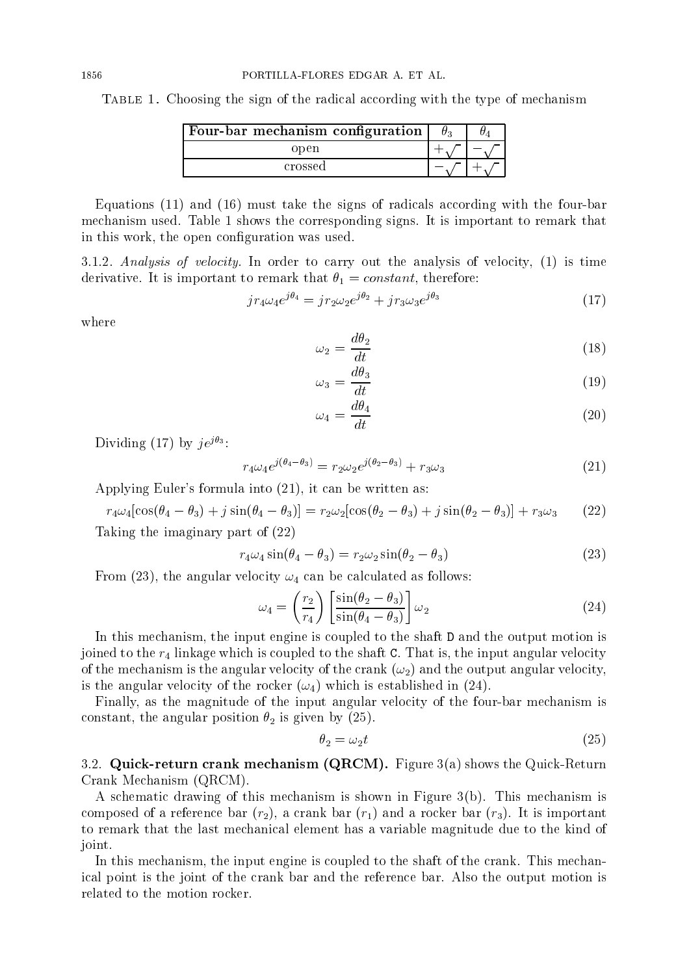TABLE 1. Choosing the sign of the radical according with the type of mechanism

| Four-bar mechanism configuration |  |
|----------------------------------|--|
| open                             |  |
| crossed                          |  |

Equations (11) and (16) must take the signs of radicals according with the four-bar mechanism used. Table 1 shows the corresponding signs. It is important to remark that in this work, the open configuration was used.

3.1.2. Analysis of velocity. In order to carry out the analysis of velocity,  $(1)$  is time derivative. It is important to remark that  $\theta_1 = constant$ , therefore:

$$
jr_4\omega_4e^{j\theta_4} = jr_2\omega_2e^{j\theta_2} + jr_3\omega_3e^{j\theta_3}
$$
\n(17)

where

$$
\omega_2 = \frac{d\theta_2}{dt} \tag{18}
$$

$$
\omega_3 = \frac{d\theta_3}{dt} \tag{19}
$$

$$
\omega_4 = \frac{d\theta_4}{dt} \tag{20}
$$

Dividing (17) by  $j e^{j\theta_3}$ :

$$
r_4 \omega_4 e^{j(\theta_4 - \theta_3)} = r_2 \omega_2 e^{j(\theta_2 - \theta_3)} + r_3 \omega_3 \tag{21}
$$

Applying Euler's formula into (21), it can be written as:

$$
r_4\omega_4[\cos(\theta_4-\theta_3)+j\sin(\theta_4-\theta_3)] = r_2\omega_2[\cos(\theta_2-\theta_3)+j\sin(\theta_2-\theta_3)] + r_3\omega_3 \qquad (22)
$$

Taking the imaginary part of  $(22)$ 

$$
r_4\omega_4 \sin(\theta_4 - \theta_3) = r_2\omega_2 \sin(\theta_2 - \theta_3)
$$
\n(23)

From (23), the angular velocity  $\omega_4$  can be calculated as follows:

$$
\omega_4 = \left(\frac{r_2}{r_4}\right) \left[\frac{\sin(\theta_2 - \theta_3)}{\sin(\theta_4 - \theta_3)}\right] \omega_2 \tag{24}
$$

In this mechanism, the input engine is coupled to the shaft D and the output motion is joined to the  $r_4$  linkage which is coupled to the shaft C. That is, the input angular velocity of the mechanism is the angular velocity of the crank  $(\omega_2)$  and the output angular velocity, is the angular velocity of the rocker  $(\omega_4)$  which is established in (24).

Finally, as the magnitude of the input angular velocity of the four-bar mechanism is constant, the angular position  $\theta_2$  is given by (25).

$$
\theta_2 = \omega_2 t \tag{25}
$$

3.2. Quick-return crank mechanism (QRCM). Figure  $3(a)$  shows the Quick-Return Crank Mechanism (QRCM).

A schematic drawing of this mechanism is shown in Figure  $3(b)$ . This mechanism is composed of a reference bar  $(r_2)$ , a crank bar  $(r_1)$  and a rocker bar  $(r_3)$ . It is important to remark that the last mechanical element has a variable magnitude due to the kind of joint.

In this mechanism, the input engine is coupled to the shaft of the crank. This mechanical point is the joint of the crank bar and the reference bar. Also the output motion is related to the motion rocker.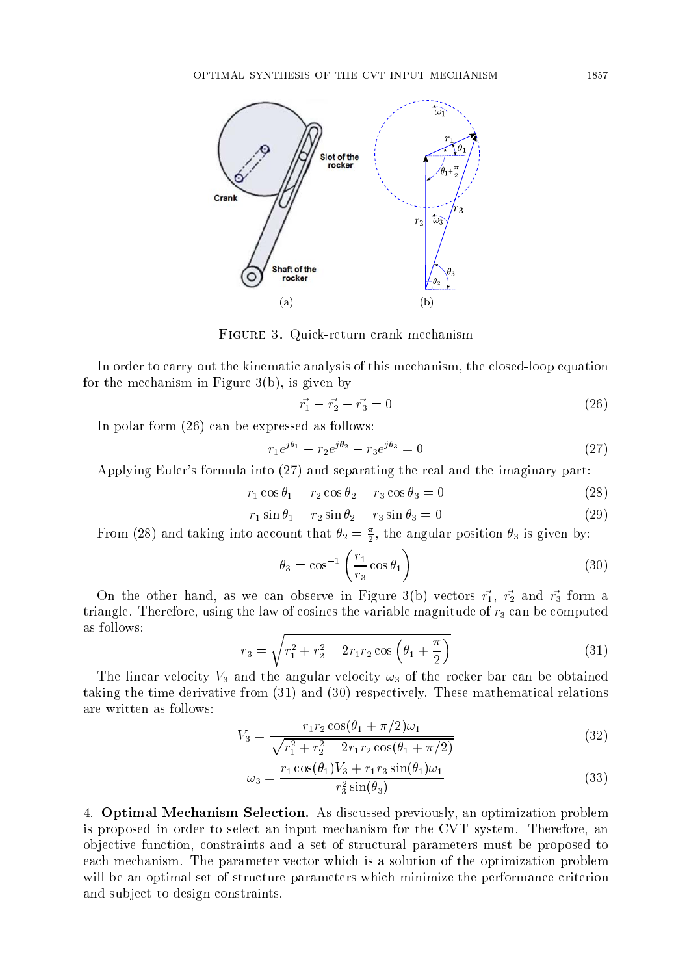

FIGURE 3. Quick-return crank mechanism

In order to carry out the kinematic analysis of this mechanism, the closed-loop equation for the mechanism in Figure  $3(b)$ , is given by

$$
\vec{r}_1 - \vec{r}_2 - \vec{r}_3 = 0 \tag{26}
$$

In polar form  $(26)$  can be expressed as follows:

$$
r_1 e^{j\theta_1} - r_2 e^{j\theta_2} - r_3 e^{j\theta_3} = 0 \tag{27}
$$

Applying Euler's formula into (27) and separating the real and the imaginary part:

$$
r_1 \cos \theta_1 - r_2 \cos \theta_2 - r_3 \cos \theta_3 = 0 \tag{28}
$$

$$
r_1 \sin \theta_1 - r_2 \sin \theta_2 - r_3 \sin \theta_3 = 0 \tag{29}
$$

From (28) and taking into account that  $\theta_2 = \frac{\pi}{2}$ , the angular position  $\theta_3$  is given by:

$$
\theta_3 = \cos^{-1}\left(\frac{r_1}{r_3}\cos\theta_1\right) \tag{30}
$$

On the other hand, as we can observe in Figure 3(b) vectors  $\vec{r_1}$ ,  $\vec{r_2}$  and  $\vec{r_3}$  form a triangle. Therefore, using the law of cosines the variable magnitude of  $r_3$  can be computed as follows:

$$
r_3 = \sqrt{r_1^2 + r_2^2 - 2r_1r_2\cos\left(\theta_1 + \frac{\pi}{2}\right)}
$$
(31)

The linear velocity  $V_3$  and the angular velocity  $\omega_3$  of the rocker bar can be obtained taking the time derivative from  $(31)$  and  $(30)$  respectively. These mathematical relations are written as follows:

$$
V_3 = \frac{r_1 r_2 \cos(\theta_1 + \pi/2)\omega_1}{\sqrt{r_1^2 + r_2^2 - 2r_1 r_2 \cos(\theta_1 + \pi/2)}}
$$
(32)

$$
\omega_3 = \frac{r_1 \cos(\theta_1) V_3 + r_1 r_3 \sin(\theta_1) \omega_1}{r_3^2 \sin(\theta_3)}\tag{33}
$$

4. **Optimal Mechanism Selection.** As discussed previously, an optimization problem is proposed in order to select an input mechanism for the CVT system. Therefore, an objective function, constraints and a set of structural parameters must be proposed to each mechanism. The parameter vector which is a solution of the optimization problem will be an optimal set of structure parameters which minimize the performance criterion and subject to design constraints.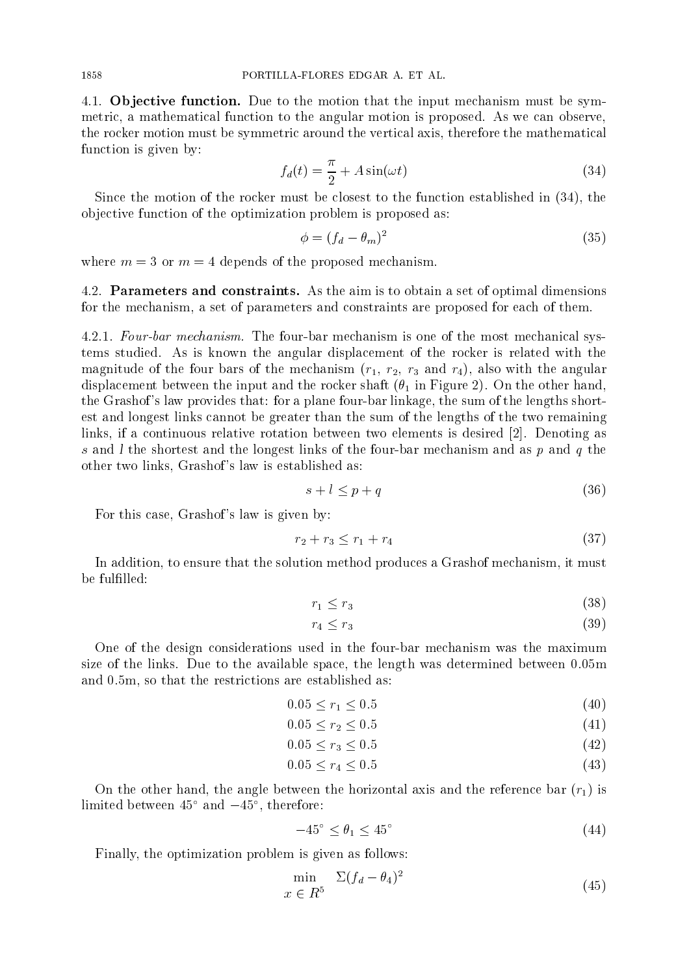4.1. Objective function. Due to the motion that the input mechanism must be symmetric, a mathematical function to the angular motion is proposed. As we can observe, the rocker motion must be symmetric around the vertical axis, therefore the mathematical function is given by:

$$
f_d(t) = \frac{\pi}{2} + A\sin(\omega t) \tag{34}
$$

Since the motion of the rocker must be closest to the function established in (34), the objective function of the optimization problem is proposed as:

$$
\phi = (f_d - \theta_m)^2 \tag{35}
$$

where  $m = 3$  or  $m = 4$  depends of the proposed mechanism.

4.2. Parameters and constraints. As the aim is to obtain a set of optimal dimensions for the mechanism, a set of parameters and constraints are proposed for each of them.

4.2.1. Four-bar mechanism. The four-bar mechanism is one of the most mechanical systems studied. As is known the angular displacement of the rocker is related with the magnitude of the four bars of the mechanism  $(r_1, r_2, r_3$  and  $r_4)$ , also with the angular displacement between the input and the rocker shaft  $(\theta_1$  in Figure 2). On the other hand, the Grashof's law provides that: for a plane four-bar linkage, the sum of the lengths shortest and longest links cannot be greater than the sum of the lengths of the two remaining links, if a continuous relative rotation between two elements is desired [2]. Denoting as s and I the shortest and the longest links of the four-bar mechanism and as p and q the other two links, Grashof's law is established as:

$$
s + l \le p + q \tag{36}
$$

For this case, Grashof's law is given by:

$$
r_2 + r_3 \le r_1 + r_4 \tag{37}
$$

In addition, to ensure that the solution method produces a Grashof mechanism, it must be fulfilled:

$$
r_1 \le r_3 \tag{38}
$$

$$
r_4 \le r_3 \tag{39}
$$

One of the design considerations used in the four-bar mechanism was the maximum size of the links. Due to the available space, the length was determined between 0.05m and 0.5m, so that the restrictions are established as:

$$
0.05 \le r_1 \le 0.5 \tag{40}
$$

$$
0.05 \le r_2 \le 0.5 \tag{41}
$$

$$
0.05 \le r_3 \le 0.5 \tag{42}
$$

 $0.05 \le r_4 \le 0.5$  $(43)$ 

On the other hand, the angle between the horizontal axis and the reference bar  $(r_1)$  is limited between  $45^{\circ}$  and  $-45^{\circ}$ , therefore:

$$
-45^{\circ} \le \theta_1 \le 45^{\circ} \tag{44}
$$

Finally, the optimization problem is given as follows:

$$
\min_{x \in R^5} \Sigma (f_d - \theta_4)^2 \tag{45}
$$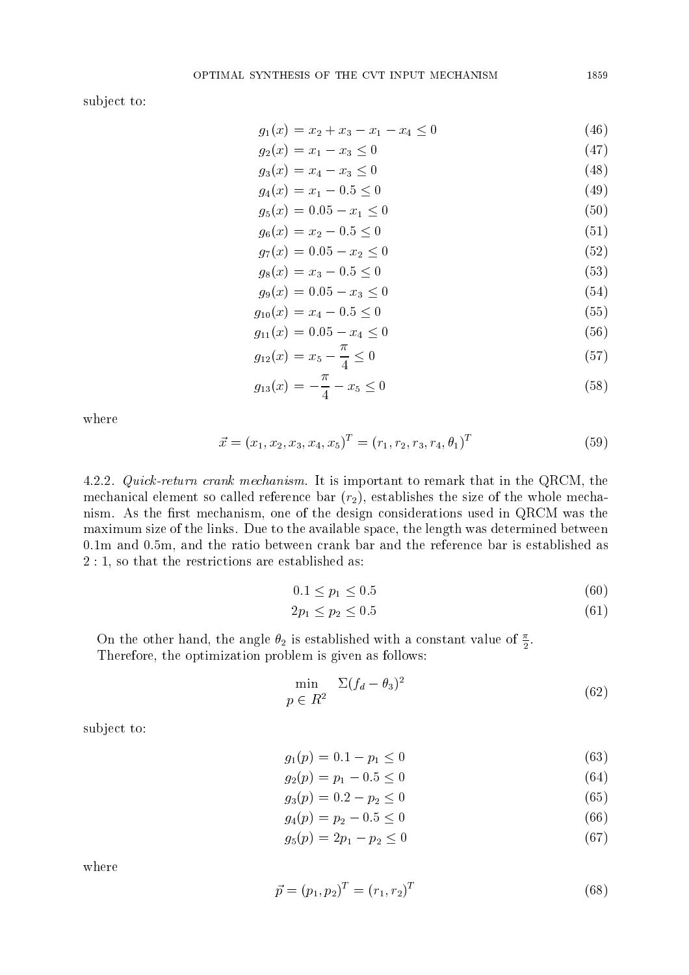subject to:

$$
g_1(x) = x_2 + x_3 - x_1 - x_4 \le 0
$$
\n
$$
g_2(x) = x_1 - x_2 \le 0
$$
\n(46)

$$
g_2(x) = x_1 - x_3 \le 0
$$
  
\n
$$
g_3(x) = x_4 - x_3 \le 0
$$
\n(47)

$$
g_4(x) = x_1 - 0.5 \le 0 \tag{49}
$$

$$
g_5(x) = 0.05 - x_1 \le 0 \tag{50}
$$

$$
g_6(x) = x_2 - 0.5 \le 0 \tag{51}
$$

$$
g_7(x) = 0.05 - x_2 \le 0 \tag{52}
$$

$$
g_8(x) = x_3 - 0.5 \le 0 \tag{53}
$$

$$
g_9(x) = 0.05 - x_3 \le 0 \tag{54}
$$

$$
g_{10}(x) = x_4 - 0.5 \le 0
$$
\n
$$
g_{11}(x) = 0.05 - x_1 \le 0
$$
\n(55)

$$
g_{11}(x) = 0.05 - x_4 \le 0
$$
\n
$$
g_{11}(x) = 0.05 - x_4 \le 0
$$
\n
$$
(55)
$$

$$
g_{12}(x) = x_5 - \frac{1}{4} \le 0 \tag{57}
$$

$$
g_{13}(x) = -\frac{\pi}{4} - x_5 \le 0 \tag{58}
$$

where

$$
\vec{x} = (x_1, x_2, x_3, x_4, x_5)^T = (r_1, r_2, r_3, r_4, \theta_1)^T
$$
\n(59)

4.2.2. Quick-return crank mechanism. It is important to remark that in the QRCM, the mechanical element so called reference bar  $(r_2)$ , establishes the size of the whole mechanism. As the first mechanism, one of the design considerations used in QRCM was the maximum size of the links. Due to the available space, the length was determined between 0.1m and 0.5m, and the ratio between crank bar and the reference bar is established as  $2:1$ , so that the restrictions are established as:

$$
0.1 \le p_1 \le 0.5 \tag{60}
$$

$$
2p_1 \le p_2 \le 0.5 \tag{61}
$$

On the other hand, the angle  $\theta_2$  is established with a constant value of  $\frac{\pi}{2}$ . Therefore, the optimization problem is given as follows:

$$
\min_{p \in R^2} \Sigma (f_d - \theta_3)^2 \tag{62}
$$

subject to:

$$
g_1(p) = 0.1 - p_1 \le 0 \tag{63}
$$

$$
g_2(p) = p_1 - 0.5 \le 0 \tag{64}
$$

$$
g_3(p) = 0.2 - p_2 \le 0 \tag{65}
$$

 $q_4(p) = p_2 - 0.5 \leq 0$  $(66)$ 

$$
g_5(p) = 2p_1 - p_2 \le 0 \tag{67}
$$

where

$$
\vec{p} = (p_1, p_2)^T = (r_1, r_2)^T \tag{68}
$$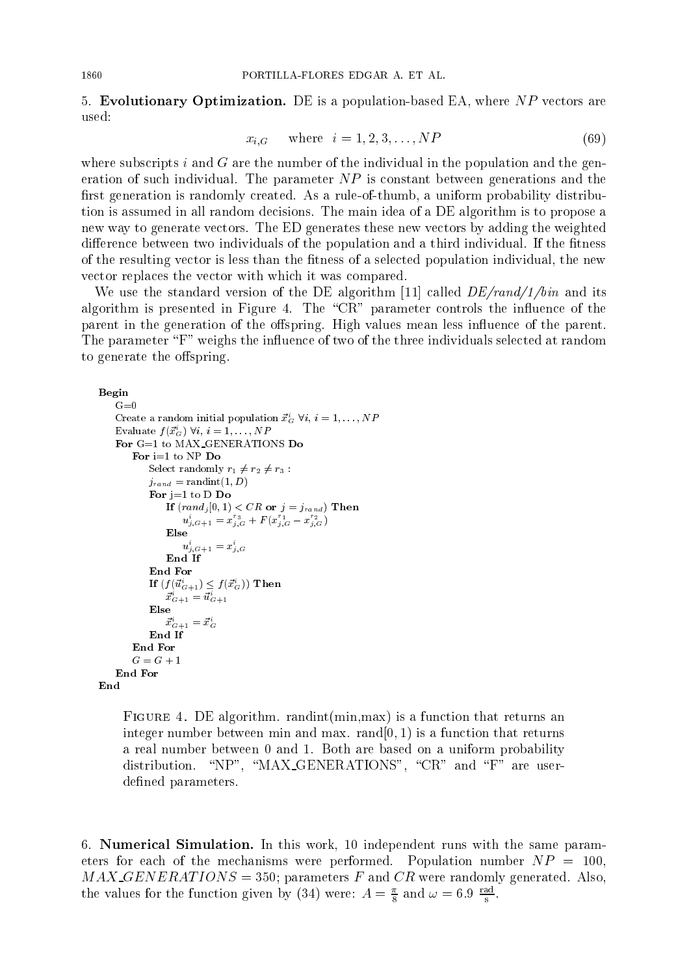5. Evolutionary Optimization. DE is a population-based EA, where  $NP$  vectors are used:

$$
x_{i,G} \qquad \text{where} \quad i = 1, 2, 3, \dots, NP \tag{69}
$$

where subscripts  $i$  and  $G$  are the number of the individual in the population and the generation of such individual. The parameter  $NP$  is constant between generations and the first generation is randomly created. As a rule-of-thumb, a uniform probability distribution is assumed in all random decisions. The main idea of a DE algorithm is to propose a new way to generate vectors. The ED generates these new vectors by adding the weighted difference between two individuals of the population and a third individual. If the fitness of the resulting vector is less than the fitness of a selected population individual, the new vector replaces the vector with which it was compared.

We use the standard version of the DE algorithm [11] called  $DE/rand/1/bin$  and its algorithm is presented in Figure 4. The "CR" parameter controls the influence of the parent in the generation of the offspring. High values mean less influence of the parent. The parameter "F" weighs the influence of two of the three individuals selected at random to generate the offspring.

```
Begin
     G=0Create a random initial population \vec{x}_G^i \forall i, i = 1, ..., NPEvaluate f(\vec{x}_G^i) \forall i, i = 1, ..., NPFor G=1 to MAX_GENERATIONS Do
         For i=1 to NP Do
              Select randomly r_1 \neq r_2 \neq r_3:
              j_{rand} = \text{randint}(1, D)For j=1 to D Do
                  If (rand_j[0,1) < CR or j = j_{rand} Then
                       u_{j,G+1}^i = x_{j,G}^{r_3} + F(x_{j,G}^{r_1} - x_{j,G}^{r_2})Else
                       u_{j,G+1}^{\imath}=x_{j,G}^{\imath}End If
              End For
              If (f(\vec{u}_{G+1}^i) \leq f(\vec{x}_G^i)) Then
                  \vec{x}^i_{G+1} = \vec{u}^i_{G+1}Else
                  \vec{x}^n_{G+1} = \vec{x}^n_{G}End If
         End For
         G = G + 1End For
End
```
FIGURE 4. DE algorithm. randint( $min.max$ ) is a function that returns an integer number between min and max.  $rand[0, 1)$  is a function that returns a real number between 0 and 1. Both are based on a uniform probability distribution. "NP", "MAX\_GENERATIONS", "CR" and "F" are userdefined parameters.

6. Numerical Simulation. In this work, 10 independent runs with the same parameters for each of the mechanisms were performed. Population number  $NP = 100$ ,  $MAX \_\text{GENERATIONS} = 350$ ; parameters F and CR were randomly generated. Also, the values for the function given by (34) were:  $A = \frac{\pi}{8}$  and  $\omega = 6.9 \frac{\text{rad}}{\text{s}}$ .

1860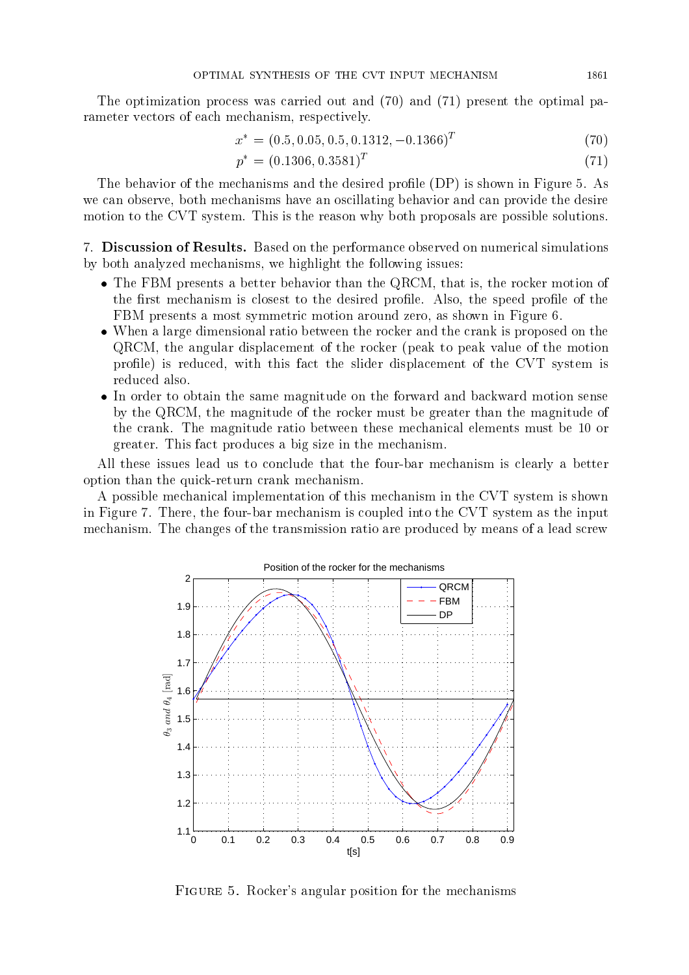The optimization process was carried out and  $(70)$  and  $(71)$  present the optimal parameter vectors of each mechanism, respectively.

$$
x^* = (0.5, 0.05, 0.5, 0.1312, -0.1366)^T
$$
\n(70)

$$
p^* = (0.1306, 0.3581)^T \tag{71}
$$

The behavior of the mechanisms and the desired profile (DP) is shown in Figure 5. As we can observe, both mechanisms have an oscillating behavior and can provide the desire motion to the CVT system. This is the reason why both proposals are possible solutions.

7. Discussion of Results. Based on the performance observed on numerical simulations by both analyzed mechanisms, we highlight the following issues:

- The FBM presents a better behavior than the QRCM, that is, the rocker motion of the first mechanism is closest to the desired profile. Also, the speed profile of the FBM presents a most symmetric motion around zero, as shown in Figure 6.
- When a large dimensional ratio between the rocker and the crank is proposed on the QRCM, the angular displacement of the rocker (peak to peak value of the motion profile) is reduced, with this fact the slider displacement of the CVT system is reduced also.
- In order to obtain the same magnitude on the forward and backward motion sense by the QRCM, the magnitude of the rocker must be greater than the magnitude of the crank. The magnitude ratio between these mechanical elements must be 10 or greater. This fact produces a big size in the mechanism.

All these issues lead us to conclude that the four-bar mechanism is clearly a better option than the quick-return crank mechanism.

A possible mechanical implementation of this mechanism in the CVT system is shown in Figure 7. There, the four-bar mechanism is coupled into the CVT system as the input mechanism. The changes of the transmission ratio are produced by means of a lead screw



FIGURE 5. Rocker's angular position for the mechanisms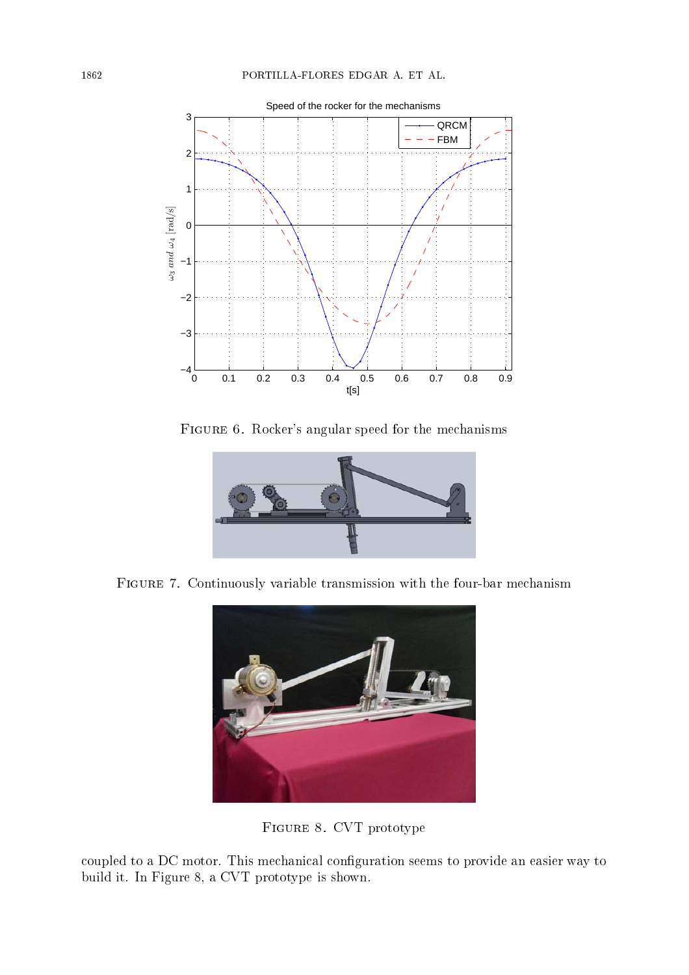

 + - H -- - -



 ,  - ! - : -



 - ? -

coupled to a DC motor. This mechanical configuration seems to provide an easier way to  $\sim$  200  $\sim$  200  $\sim$  200  $\sim$  200  $\sim$  300  $\sim$  300  $\sim$  300  $\sim$  300  $\sim$  300  $\sim$  300  $\sim$  300  $\sim$  300  $\sim$  300  $\sim$  300  $\sim$  300  $\sim$  300  $\sim$  300  $\sim$  300  $\sim$  300  $\sim$  300  $\sim$  300  $\sim$  300  $\sim$  300  $\sim$  300  $\sim$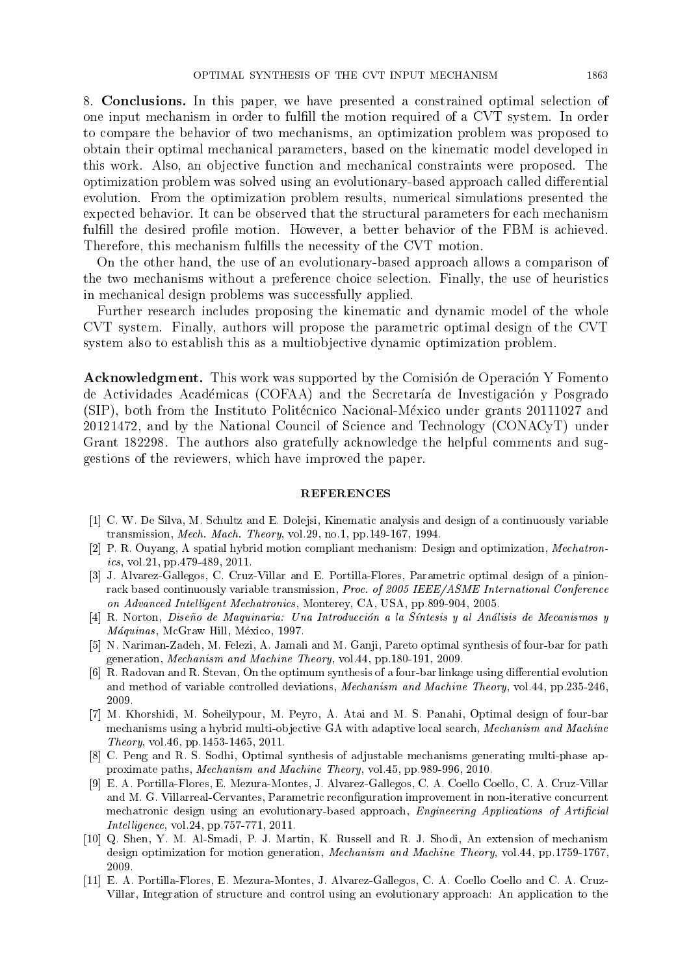8. Conclusions. In this paper, we have presented a constrained optimal selection of one input mechanism in order to fulfill the motion required of a CVT system. In order to compare the behavior of two mechanisms, an optimization problem was proposed to obtain their optimal mechanical parameters, based on the kinematic model developed in this work. Also, an objective function and mechanical constraints were proposed. The optimization problem was solved using an evolutionary-based approach called differential evolution. From the optimization problem results, numerical simulations presented the expected behavior. It can be observed that the structural parameters for each mechanism fulfill the desired profile motion. However, a better behavior of the FBM is achieved. Therefore, this mechanism fulfills the necessity of the CVT motion.

On the other hand, the use of an evolutionary-based approach allows a comparison of the two mechanisms without a preference choice selection. Finally, the use of heuristics in mechanical design problems was successfully applied.

Further research includes proposing the kinematic and dynamic model of the whole CVT system. Finally, authors will propose the parametric optimal design of the CVT system also to establish this as a multiobjective dynamic optimization problem.

**Acknowledgment.** This work was supported by the Comisión de Operación Y Fomento de Actividades Académicas (COFAA) and the Secretaría de Investigación y Posgrado (SIP), both from the Instituto Politécnico Nacional-México under grants 20111027 and 20121472, and by the National Council of Science and Technology (CONACyT) under Grant 182298. The authors also gratefully acknowledge the helpful comments and suggestions of the reviewers, which have improved the paper.

## **REFERENCES**

- [1] C. W. De Silva, M. Schultz and E. Dolejsi, Kinematic analysis and design of a continuously variable transmission, Mech. Mach. Theory, vol.29, no.1, pp.149-167, 1994.
- [2] P. R. Ouyang, A spatial hybrid motion compliant mechanism: Design and optimization, Mechatronics, vol. 21, pp. 479-489, 2011.
- [3] J. Alvarez-Gallegos, C. Cruz-Villar and E. Portilla-Flores, Parametric optimal design of a pinionrack based continuously variable transmission, Proc. of 2005 IEEE/ASME International Conference on Advanced Intelligent Mechatronics, Monterey, CA, USA, pp.899-904, 2005.
- [4] R. Norton, Diseño de Maquinaria: Una Introducción a la Síntesis y al Análisis de Mecanismos y Máquinas, McGraw Hill, México, 1997.
- [5] N. Nariman-Zadeh, M. Felezi, A. Jamali and M. Ganji, Pareto optimal synthesis of four-bar for path generation, *Mechanism and Machine Theory*, vol. 44, pp. 180-191, 2009.
- [6] R. Radovan and R. Stevan, On the optimum synthesis of a four-bar linkage using differential evolution and method of variable controlled deviations, Mechanism and Machine Theory, vol. 44, pp. 235-246, 2009.
- [7] M. Khorshidi, M. Soheilypour, M. Peyro, A. Atai and M. S. Panahi, Optimal design of four-bar mechanisms using a hybrid multi-objective GA with adaptive local search, Mechanism and Machine Theory, vol.46, pp.1453-1465, 2011.
- [8] C. Peng and R. S. Sodhi, Optimal synthesis of adjustable mechanisms generating multi-phase approximate paths, *Mechanism and Machine Theory*, vol.45, pp.989-996, 2010.
- [9] E. A. Portilla-Flores, E. Mezura-Montes, J. Alvarez-Gallegos, C. A. Coello Coello, C. A. Cruz-Villar and M. G. Villarreal-Cervantes, Parametric reconfiguration improvement in non-iterative concurrent mechatronic design using an evolutionary-based approach, Engineering Applications of Artificial *Intelligence*, vol.24, pp. 757-771, 2011.
- [10] Q. Shen, Y. M. Al-Smadi, P. J. Martin, K. Russell and R. J. Shodi, An extension of mechanism design optimization for motion generation, Mechanism and Machine Theory, vol.44, pp.1759-1767, 2009.
- [11] E. A. Portilla-Flores, E. Mezura-Montes, J. Alvarez-Gallegos, C. A. Coello Coello and C. A. Cruz-Villar, Integration of structure and control using an evolutionary approach: An application to the